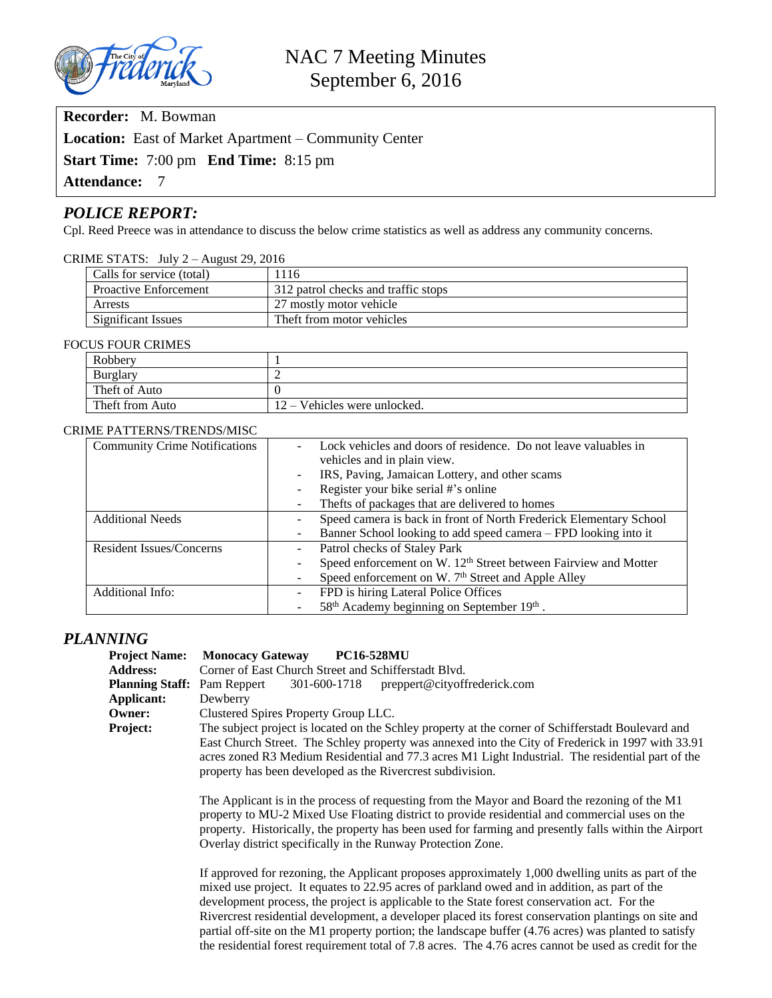

**Recorder:** M. Bowman

**Location:** East of Market Apartment – Community Center

**Start Time:** 7:00 pm **End Time:** 8:15 pm

**Attendance:** 7

# *POLICE REPORT:*

Cpl. Reed Preece was in attendance to discuss the below crime statistics as well as address any community concerns.

| CRIME STATS: July $2 -$ August 29, 2016 |
|-----------------------------------------|
|                                         |

| Calls for service (total)    | 1116                                |
|------------------------------|-------------------------------------|
| <b>Proactive Enforcement</b> | 312 patrol checks and traffic stops |
| Arrests                      | 27 mostly motor vehicle             |
| <b>Significant Issues</b>    | Theft from motor vehicles           |

#### FOCUS FOUR CRIMES

| Robbery         |                                |
|-----------------|--------------------------------|
| Burglary        |                                |
| Theft of Auto   |                                |
| Theft from Auto | $12 -$ Vehicles were unlocked. |

#### CRIME PATTERNS/TRENDS/MISC

| <b>Community Crime Notifications</b> | Lock vehicles and doors of residence. Do not leave valuables in             |  |
|--------------------------------------|-----------------------------------------------------------------------------|--|
|                                      | vehicles and in plain view.                                                 |  |
|                                      | IRS, Paving, Jamaican Lottery, and other scams                              |  |
|                                      | Register your bike serial #'s online                                        |  |
|                                      | Thefts of packages that are delivered to homes                              |  |
| <b>Additional Needs</b>              | Speed camera is back in front of North Frederick Elementary School          |  |
|                                      | Banner School looking to add speed camera – FPD looking into it             |  |
| Resident Issues/Concerns             | Patrol checks of Staley Park                                                |  |
|                                      | Speed enforcement on W. 12 <sup>th</sup> Street between Fairview and Motter |  |
|                                      | Speed enforcement on W. 7 <sup>th</sup> Street and Apple Alley              |  |
| <b>Additional Info:</b>              | FPD is hiring Lateral Police Offices                                        |  |
|                                      | 58 <sup>th</sup> Academy beginning on September 19 <sup>th</sup> .          |  |

## *PLANNING*

| <b>Project Name:</b>   | <b>Monocacy Gateway</b><br><b>PC16-528MU</b>                                                                                                                                                                                                                                                                                                                                                                                                                                                                                                                                                                                   |  |  |
|------------------------|--------------------------------------------------------------------------------------------------------------------------------------------------------------------------------------------------------------------------------------------------------------------------------------------------------------------------------------------------------------------------------------------------------------------------------------------------------------------------------------------------------------------------------------------------------------------------------------------------------------------------------|--|--|
| <b>Address:</b>        | Corner of East Church Street and Schifferstadt Blvd.                                                                                                                                                                                                                                                                                                                                                                                                                                                                                                                                                                           |  |  |
| <b>Planning Staff:</b> | 301-600-1718 preppert@cityoffrederick.com<br>Pam Reppert                                                                                                                                                                                                                                                                                                                                                                                                                                                                                                                                                                       |  |  |
| Applicant:             | Dewberry                                                                                                                                                                                                                                                                                                                                                                                                                                                                                                                                                                                                                       |  |  |
| Owner:                 | Clustered Spires Property Group LLC.                                                                                                                                                                                                                                                                                                                                                                                                                                                                                                                                                                                           |  |  |
| Project:               | The subject project is located on the Schley property at the corner of Schifferstadt Boulevard and<br>East Church Street. The Schley property was annexed into the City of Frederick in 1997 with 33.91<br>acres zoned R3 Medium Residential and 77.3 acres M1 Light Industrial. The residential part of the<br>property has been developed as the Rivercrest subdivision.                                                                                                                                                                                                                                                     |  |  |
|                        | The Applicant is in the process of requesting from the Mayor and Board the rezoning of the M1<br>property to MU-2 Mixed Use Floating district to provide residential and commercial uses on the<br>property. Historically, the property has been used for farming and presently falls within the Airport<br>Overlay district specifically in the Runway Protection Zone.                                                                                                                                                                                                                                                       |  |  |
|                        | If approved for rezoning, the Applicant proposes approximately 1,000 dwelling units as part of the<br>mixed use project. It equates to 22.95 acres of parkland owed and in addition, as part of the<br>development process, the project is applicable to the State forest conservation act. For the<br>Rivercrest residential development, a developer placed its forest conservation plantings on site and<br>partial off-site on the M1 property portion; the landscape buffer (4.76 acres) was planted to satisfy<br>the residential forest requirement total of 7.8 acres. The 4.76 acres cannot be used as credit for the |  |  |